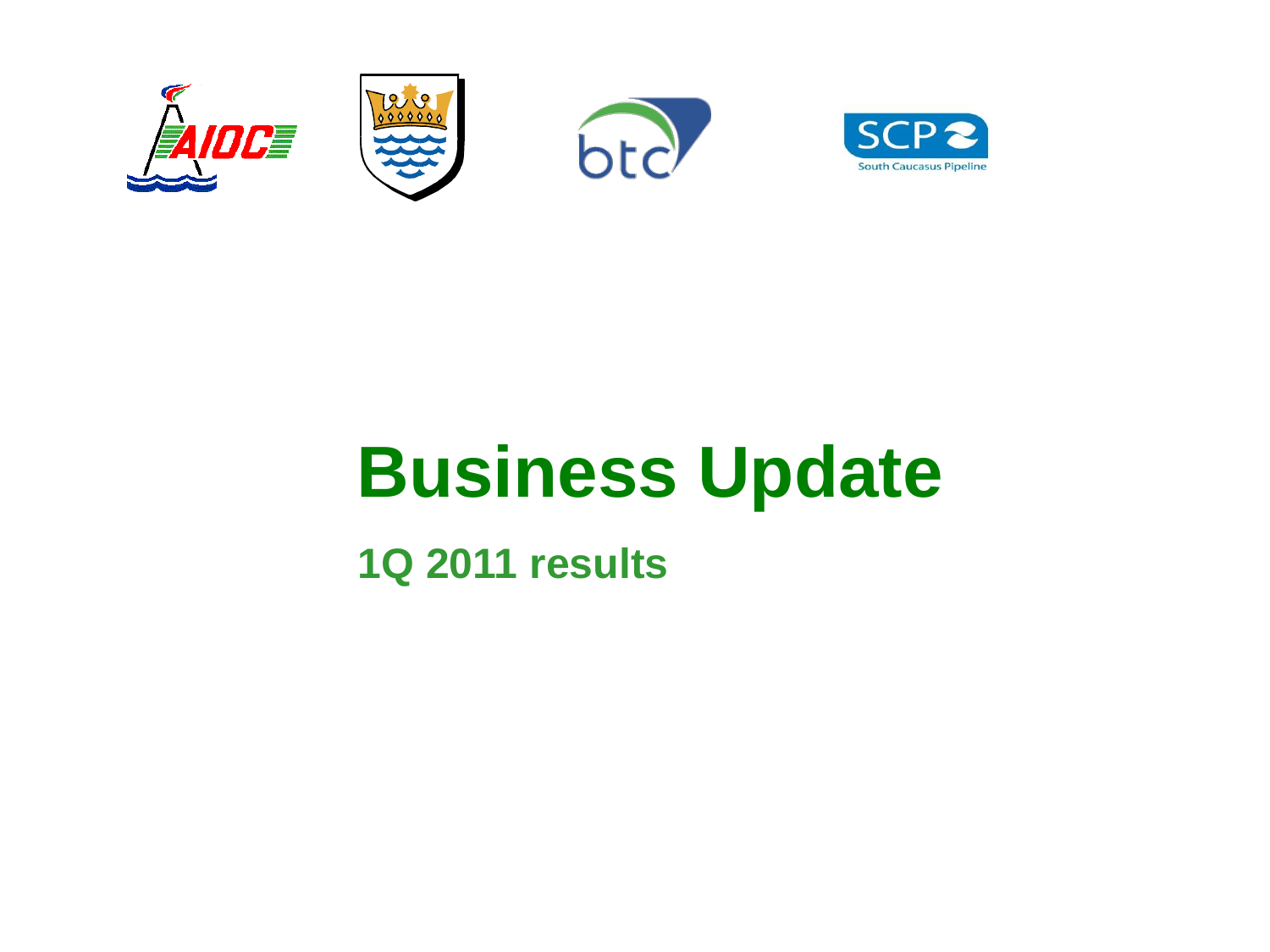







# **Business Update**

**1Q 2011 results**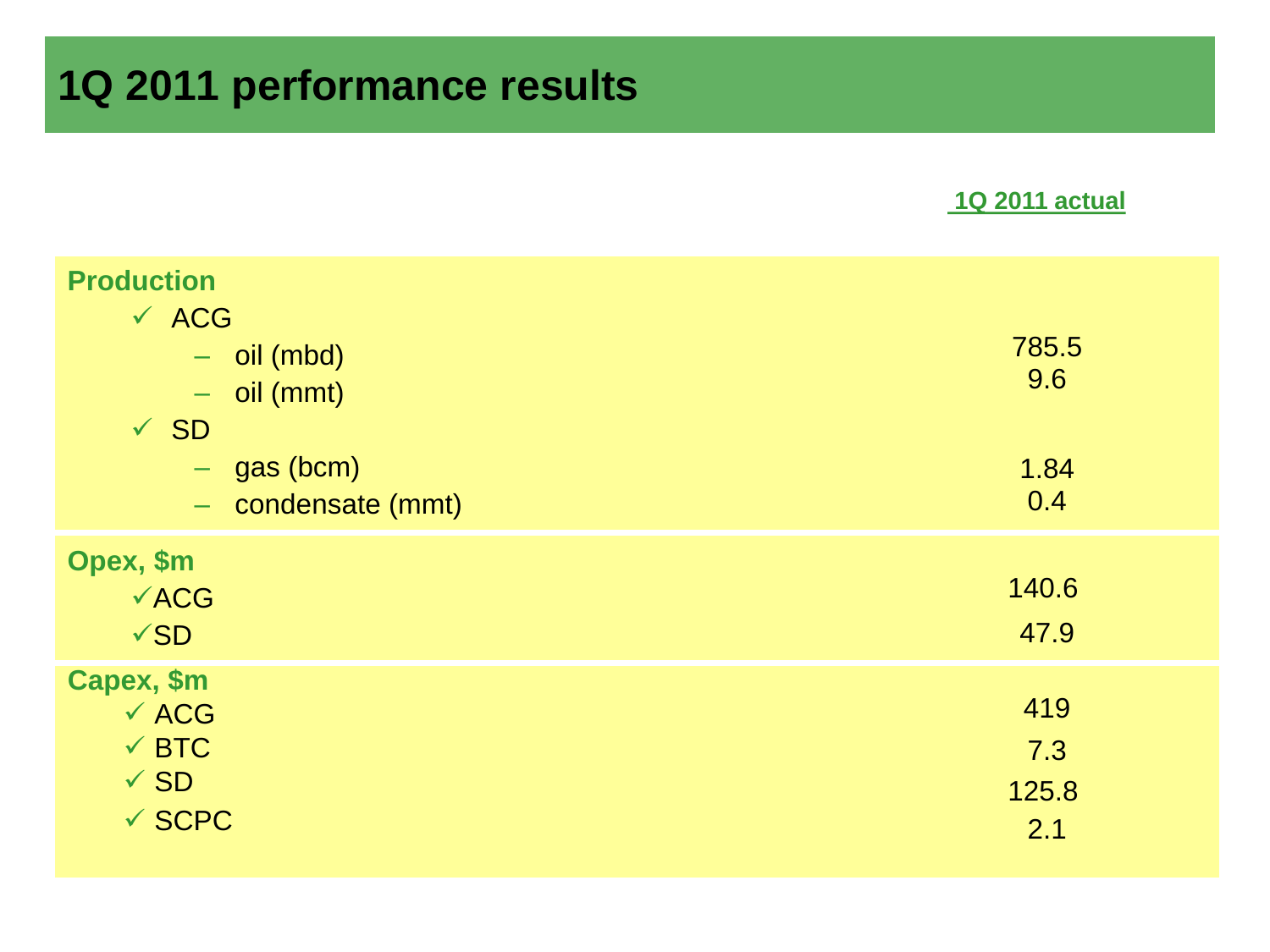### **1Q 2011 performance results**

#### **1Q 2011 actual**

| <b>Production</b>                                                                      |                                     |                            |
|----------------------------------------------------------------------------------------|-------------------------------------|----------------------------|
| $\times$ ACG<br>$\sqrt{SD}$                                                            | $-$ oil (mbd)<br>$-$ oil (mmt)      | 785.5<br>9.6               |
|                                                                                        | $-$ gas (bcm)<br>- condensate (mmt) | 1.84<br>0.4                |
| Opex, \$m<br>$\sqrt{ACG}$<br>$\sqrt{SD}$                                               |                                     | 140.6<br>47.9              |
| Capex, \$m<br>$\times$ ACG<br>$\checkmark$ BTC<br>$\checkmark$ SD<br>$\checkmark$ SCPC |                                     | 419<br>7.3<br>125.8<br>2.1 |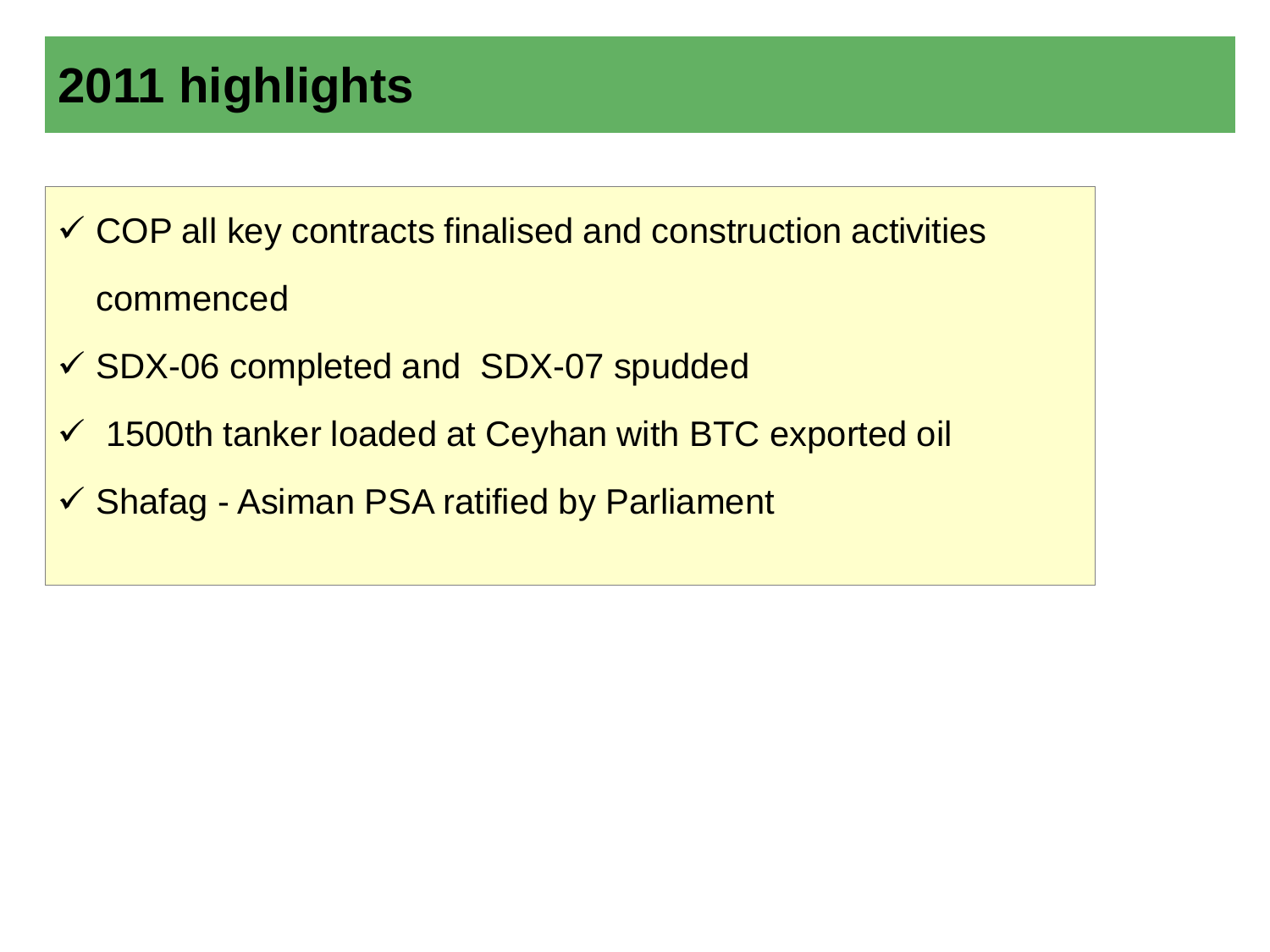## **2011 highlights**

 $\checkmark$  COP all key contracts finalised and construction activities commenced

- $\checkmark$  SDX-06 completed and SDX-07 spudded
- 1500th tanker loaded at Ceyhan with BTC exported oil
- $\checkmark$  Shafag Asiman PSA ratified by Parliament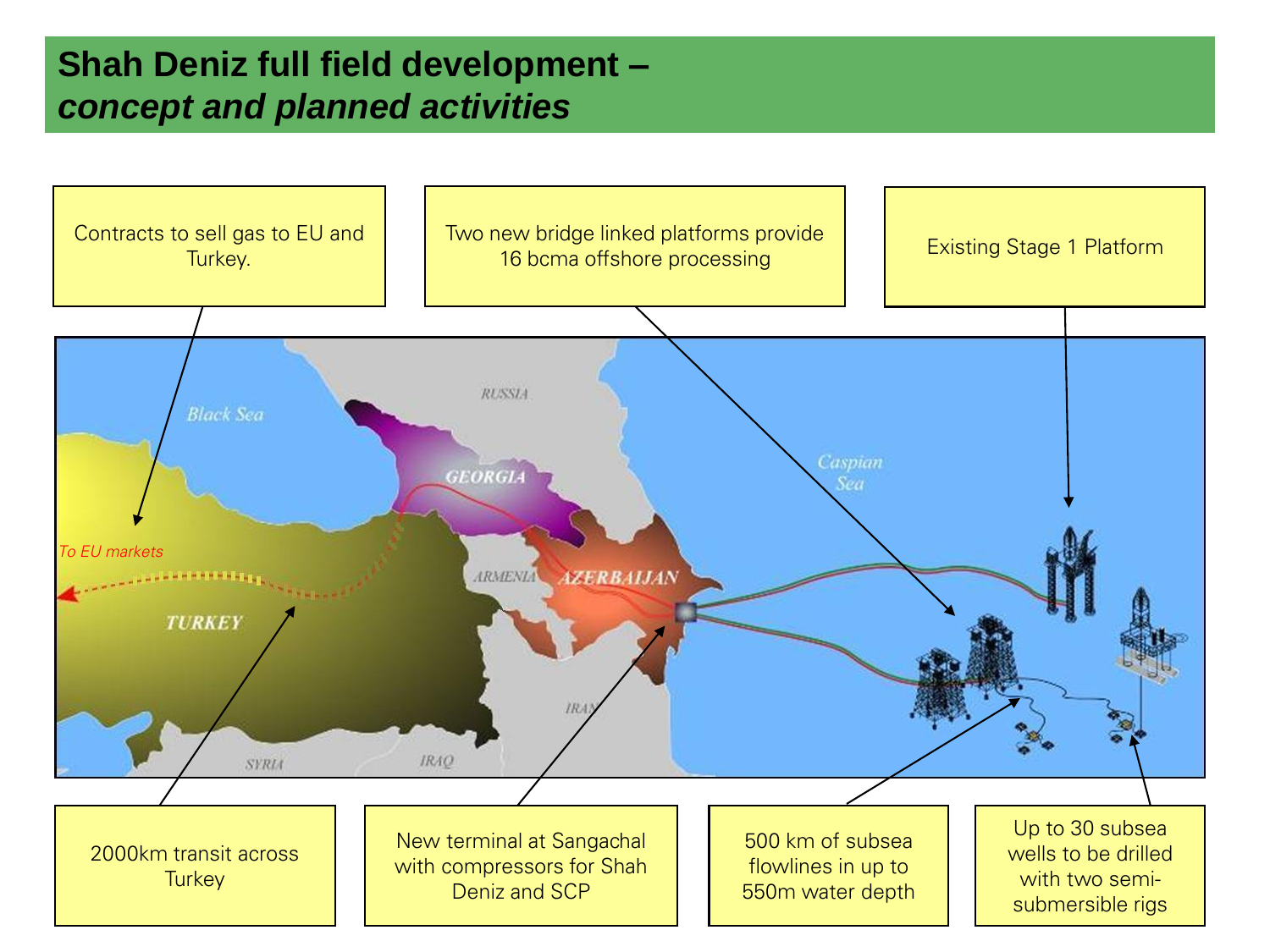#### **Shah Deniz full field development –** *concept and planned activities*

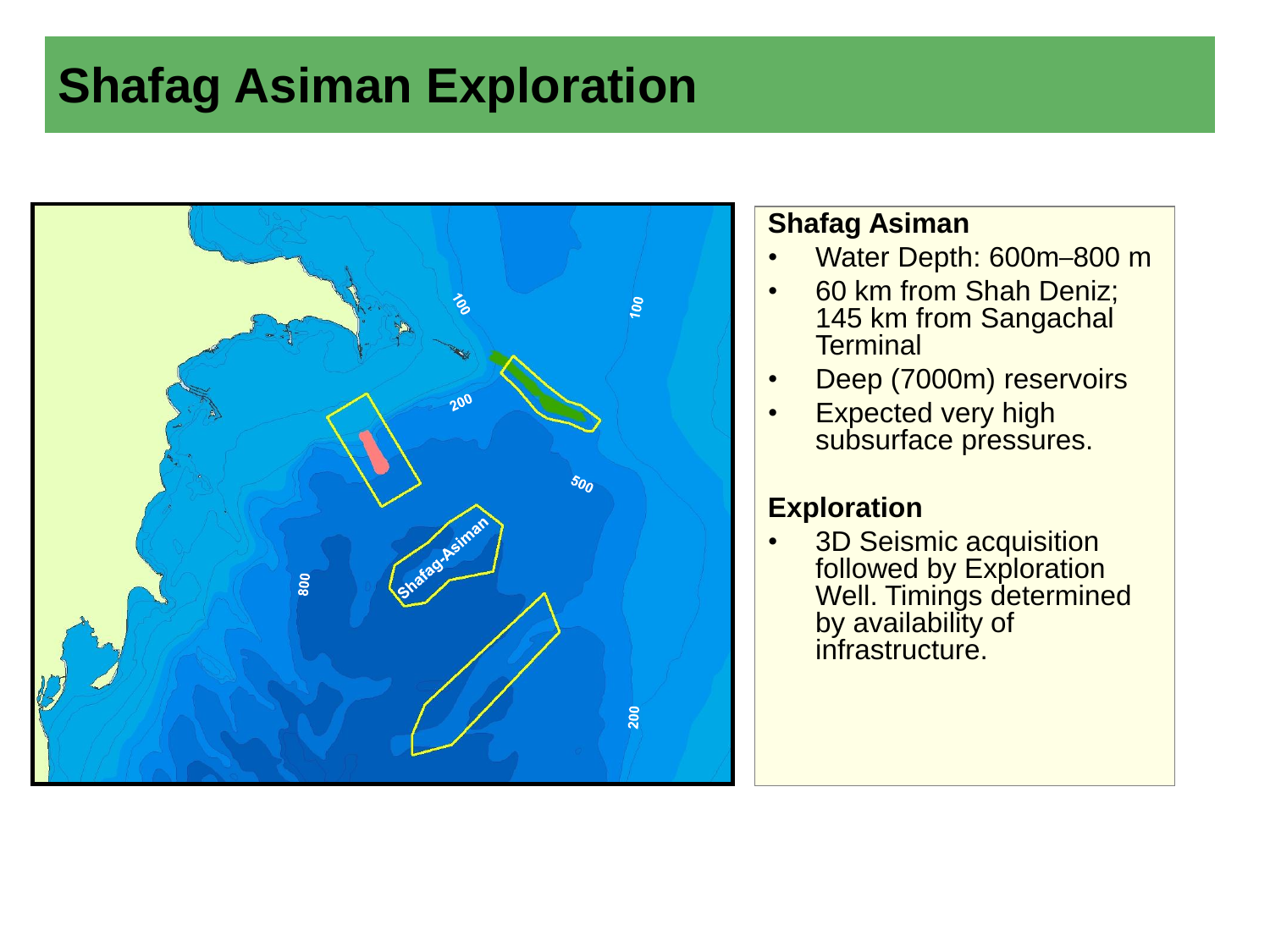### **Shafag Asiman Exploration**



#### **Shafag Asiman**

- Water Depth: 600m–800 m
- 60 km from Shah Deniz; 145 km from Sangachal **Terminal**
- Deep (7000m) reservoirs
- Expected very high subsurface pressures.

#### **Exploration**

• 3D Seismic acquisition followed by Exploration Well. Timings determined by availability of infrastructure.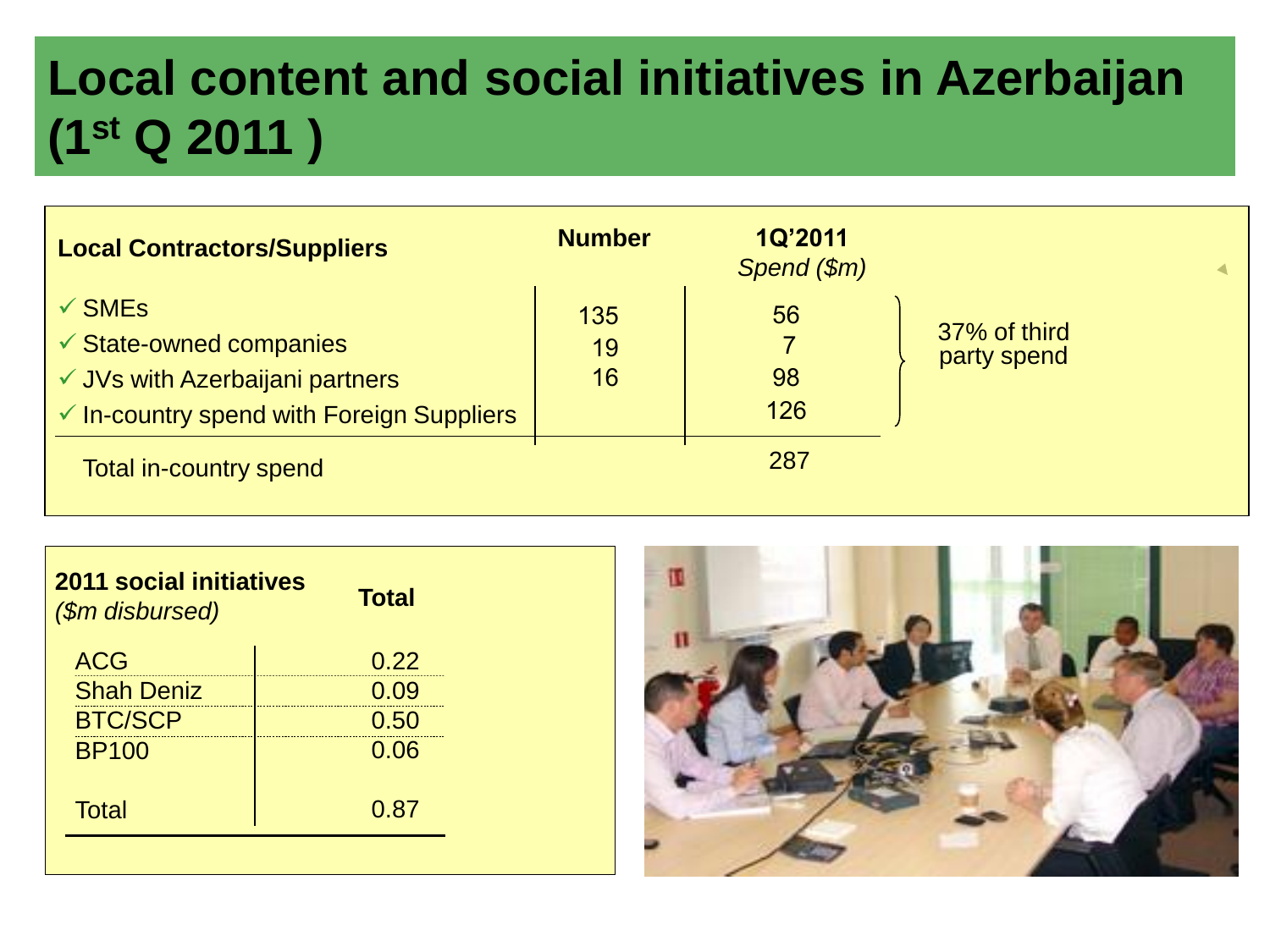## **Local content and social initiatives in Azerbaijan (1st Q 2011 )**

| <b>Local Contractors/Suppliers</b>                                                                                                                 | <b>Number</b>   | <b>1Q'2011</b><br>Spend (\$m) |                             |
|----------------------------------------------------------------------------------------------------------------------------------------------------|-----------------|-------------------------------|-----------------------------|
| $\checkmark$ SMEs<br>$\checkmark$ State-owned companies<br>✓ JVs with Azerbaijani partners<br>$\checkmark$ In-country spend with Foreign Suppliers | 135<br>19<br>16 | 56<br>98<br>126               | 37% of third<br>party spend |
| <b>Total in-country spend</b>                                                                                                                      |                 | 287                           |                             |

| <b>2011 social initiatives</b><br>(\$m disbursed) | <b>Total</b> |
|---------------------------------------------------|--------------|
| <b>ACG</b>                                        | 0.22         |
| <b>Shah Deniz</b>                                 | 0.09         |
| <b>BTC/SCP</b>                                    | 0.50         |
| <b>BP100</b>                                      | 0.06         |
| <b>Total</b>                                      | 0.87         |
|                                                   |              |

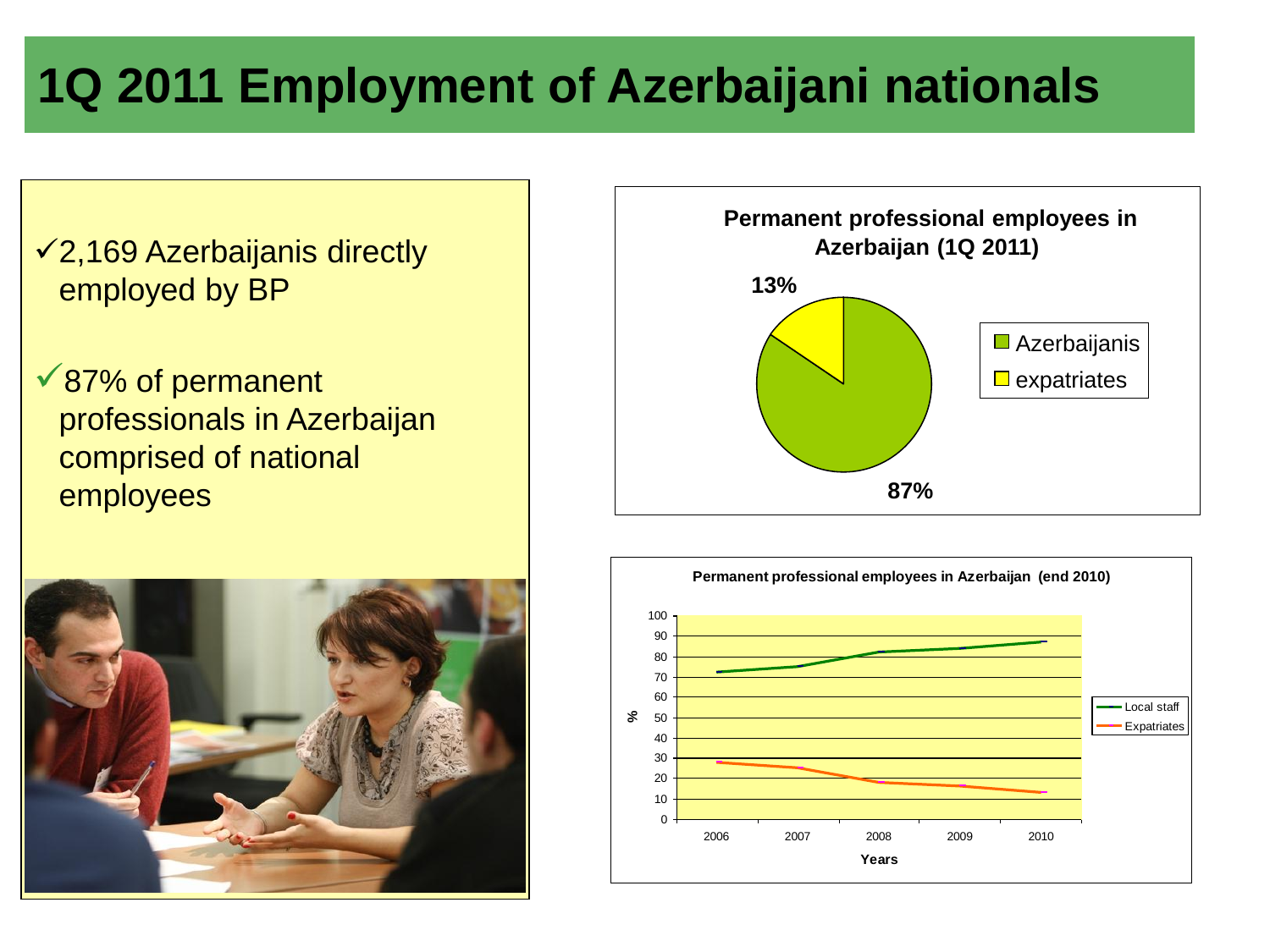### **1Q 2011 Employment of Azerbaijani nationals**

- 2,169 Azerbaijanis directly employed by BP
- 87% of permanent professionals in Azerbaijan comprised of national employees